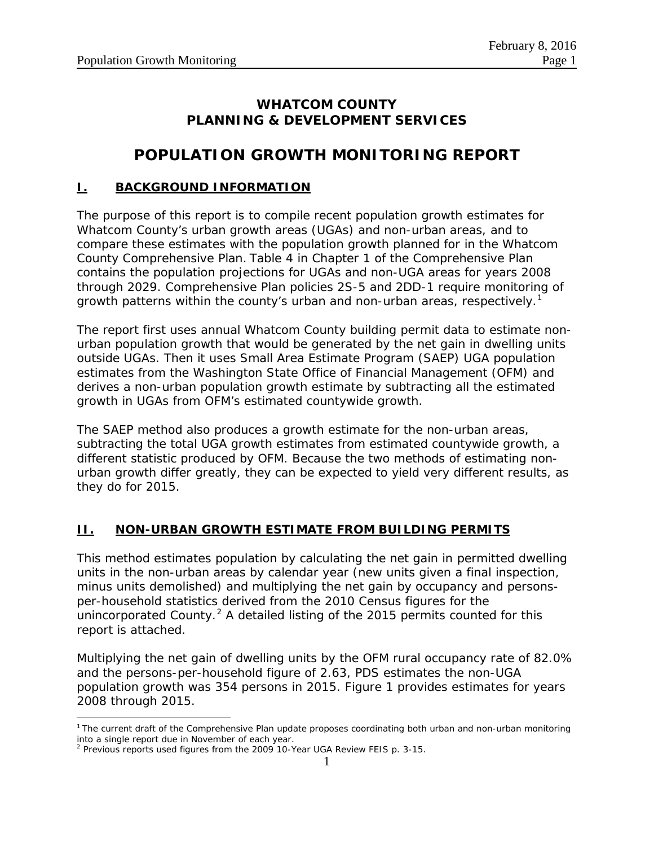### **WHATCOM COUNTY PLANNING & DEVELOPMENT SERVICES**

### **POPULATION GROWTH MONITORING REPORT**

#### **I. BACKGROUND INFORMATION**

The purpose of this report is to compile recent population growth estimates for Whatcom County's urban growth areas (UGAs) and non-urban areas, and to compare these estimates with the population growth planned for in the Whatcom County Comprehensive Plan. Table 4 in Chapter 1 of the Comprehensive Plan contains the population projections for UGAs and non-UGA areas for years 2008 through 2029. Comprehensive Plan policies 2S-5 and 2DD-1 require monitoring of growth patterns within the county's urban and non-urban areas, respectively.<sup>[1](#page-0-0)</sup>

The report first uses annual Whatcom County building permit data to estimate nonurban population growth that would be generated by the net gain in dwelling units outside UGAs. Then it uses Small Area Estimate Program (SAEP) UGA population estimates from the Washington State Office of Financial Management (OFM) and derives a non-urban population growth estimate by subtracting all the estimated growth in UGAs from OFM's estimated countywide growth.

The SAEP method also produces a growth estimate for the non-urban areas, subtracting the total UGA growth estimates from estimated countywide growth, a different statistic produced by OFM. Because the two methods of estimating nonurban growth differ greatly, they can be expected to yield very different results, as they do for 2015.

#### **II. NON-URBAN GROWTH ESTIMATE FROM BUILDING PERMITS**

This method estimates population by calculating the net gain in permitted dwelling units in the non-urban areas by calendar year (new units given a final inspection, minus units demolished) and multiplying the net gain by occupancy and personsper-household statistics derived from the 2010 Census figures for the unincorporated County.<sup>[2](#page-0-1)</sup> A detailed listing of the 2015 permits counted for this report is attached.

Multiplying the net gain of dwelling units by the OFM rural occupancy rate of 82.0% and the persons-per-household figure of 2.63, PDS estimates the non-UGA population growth was 354 persons in 2015. Figure 1 provides estimates for years 2008 through 2015.

 $\overline{a}$ 

<span id="page-0-0"></span><sup>&</sup>lt;sup>1</sup> The current draft of the Comprehensive Plan update proposes coordinating both urban and non-urban monitoring into a single report due in November of each year.

<span id="page-0-1"></span> $^2$  Previous reports used figures from the 2009 10-Year UGA Review FEIS p. 3-15.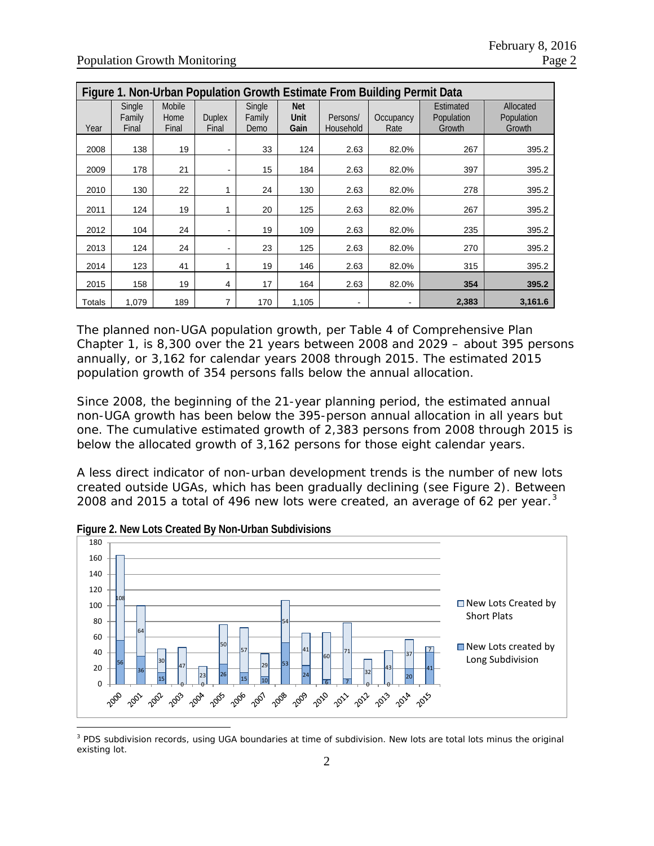| Figure 1. Non-Urban Population Growth Estimate From Building Permit Data |                           |                         |                              |                          |                            |                          |                   |                                   |                                   |
|--------------------------------------------------------------------------|---------------------------|-------------------------|------------------------------|--------------------------|----------------------------|--------------------------|-------------------|-----------------------------------|-----------------------------------|
| Year                                                                     | Single<br>Family<br>Final | Mobile<br>Home<br>Final | <b>Duplex</b><br>Final       | Single<br>Family<br>Demo | <b>Net</b><br>Unit<br>Gain | Persons/<br>Household    | Occupancy<br>Rate | Estimated<br>Population<br>Growth | Allocated<br>Population<br>Growth |
| 2008                                                                     | 138                       | 19                      |                              | 33                       | 124                        | 2.63                     | 82.0%             | 267                               | 395.2                             |
| 2009                                                                     | 178                       | 21                      | $\qquad \qquad \blacksquare$ | 15                       | 184                        | 2.63                     | 82.0%             | 397                               | 395.2                             |
| 2010                                                                     | 130                       | 22                      |                              | 24                       | 130                        | 2.63                     | 82.0%             | 278                               | 395.2                             |
| 2011                                                                     | 124                       | 19                      |                              | 20                       | 125                        | 2.63                     | 82.0%             | 267                               | 395.2                             |
| 2012                                                                     | 104                       | 24                      | ۰                            | 19                       | 109                        | 2.63                     | 82.0%             | 235                               | 395.2                             |
| 2013                                                                     | 124                       | 24                      |                              | 23                       | 125                        | 2.63                     | 82.0%             | 270                               | 395.2                             |
| 2014                                                                     | 123                       | 41                      |                              | 19                       | 146                        | 2.63                     | 82.0%             | 315                               | 395.2                             |
| 2015                                                                     | 158                       | 19                      | 4                            | 17                       | 164                        | 2.63                     | 82.0%             | 354                               | 395.2                             |
| Totals                                                                   | 1,079                     | 189                     | 7                            | 170                      | 1,105                      | $\overline{\phantom{0}}$ |                   | 2,383                             | 3,161.6                           |

The planned non-UGA population growth, per Table 4 of Comprehensive Plan Chapter 1, is 8,300 over the 21 years between 2008 and 2029 – about 395 persons annually, or 3,162 for calendar years 2008 through 2015. The estimated 2015 population growth of 354 persons falls below the annual allocation.

Since 2008, the beginning of the 21-year planning period, the estimated annual non-UGA growth has been below the 395-person annual allocation in all years but one. The cumulative estimated growth of 2,383 persons from 2008 through 2015 is below the allocated growth of 3,162 persons for those eight calendar years.

A less direct indicator of non-urban development trends is the number of new lots created outside UGAs, which has been gradually declining (see Figure 2). Between 2008 and 2015 a total of 496 new lots were created, an average of 62 per year.<sup>[3](#page-1-0)</sup>



**Figure 2. New Lots Created By Non-Urban Subdivisions**

 $\overline{a}$ 

<span id="page-1-0"></span><sup>&</sup>lt;sup>3</sup> PDS subdivision records, using UGA boundaries at time of subdivision. New lots are total lots minus the original existing lot.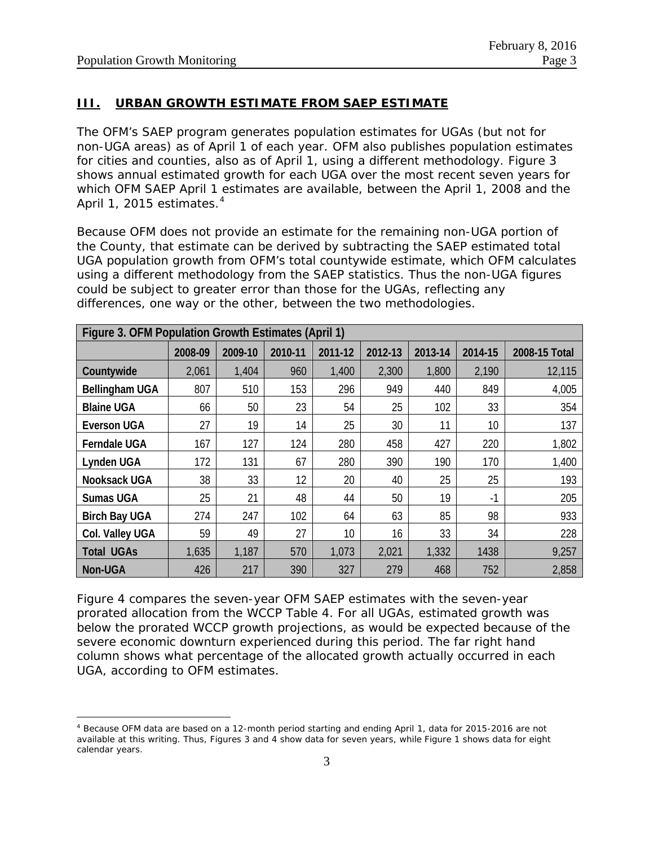$\overline{a}$ 

#### **III. URBAN GROWTH ESTIMATE FROM SAEP ESTIMATE**

The OFM's SAEP program generates population estimates for UGAs (but not for non-UGA areas) as of April 1 of each year. OFM also publishes population estimates for cities and counties, also as of April 1, using a different methodology. Figure 3 shows annual estimated growth for each UGA over the most recent seven years for which OFM SAEP April 1 estimates are available, between the April 1, 2008 and the April 1, 2015 estimates.<sup>[4](#page-2-0)</sup>

Because OFM does not provide an estimate for the remaining non-UGA portion of the County, that estimate can be derived by subtracting the SAEP estimated total UGA population growth from OFM's total countywide estimate, which OFM calculates using a different methodology from the SAEP statistics. Thus the non-UGA figures could be subject to greater error than those for the UGAs, reflecting any differences, one way or the other, between the two methodologies.

| Figure 3. OFM Population Growth Estimates (April 1) |         |         |         |         |         |         |         |               |
|-----------------------------------------------------|---------|---------|---------|---------|---------|---------|---------|---------------|
|                                                     | 2008-09 | 2009-10 | 2010-11 | 2011-12 | 2012-13 | 2013-14 | 2014-15 | 2008-15 Total |
| Countywide                                          | 2,061   | 1,404   | 960     | 1,400   | 2,300   | 1,800   | 2,190   | 12,115        |
| <b>Bellingham UGA</b>                               | 807     | 510     | 153     | 296     | 949     | 440     | 849     | 4,005         |
| <b>Blaine UGA</b>                                   | 66      | 50      | 23      | 54      | 25      | 102     | 33      | 354           |
| <b>Everson UGA</b>                                  | 27      | 19      | 14      | 25      | 30      | 11      | 10      | 137           |
| <b>Ferndale UGA</b>                                 | 167     | 127     | 124     | 280     | 458     | 427     | 220     | 1,802         |
| Lynden UGA                                          | 172     | 131     | 67      | 280     | 390     | 190     | 170     | 1,400         |
| Nooksack UGA                                        | 38      | 33      | 12      | 20      | 40      | 25      | 25      | 193           |
| <b>Sumas UGA</b>                                    | 25      | 21      | 48      | 44      | 50      | 19      | $-1$    | 205           |
| <b>Birch Bay UGA</b>                                | 274     | 247     | 102     | 64      | 63      | 85      | 98      | 933           |
| Col. Valley UGA                                     | 59      | 49      | 27      | 10      | 16      | 33      | 34      | 228           |
| <b>Total UGAs</b>                                   | 1,635   | 1,187   | 570     | 1,073   | 2,021   | 1,332   | 1438    | 9,257         |
| Non-UGA                                             | 426     | 217     | 390     | 327     | 279     | 468     | 752     | 2,858         |

Figure 4 compares the seven-year OFM SAEP estimates with the seven-year prorated allocation from the WCCP Table 4. For all UGAs, estimated growth was below the prorated WCCP growth projections, as would be expected because of the severe economic downturn experienced during this period. The far right hand column shows what percentage of the allocated growth actually occurred in each UGA, according to OFM estimates.

<span id="page-2-0"></span><sup>4</sup> Because OFM data are based on a 12-month period starting and ending April 1, data for 2015-2016 are not available at this writing. Thus, Figures 3 and 4 show data for seven years, while Figure 1 shows data for eight calendar years.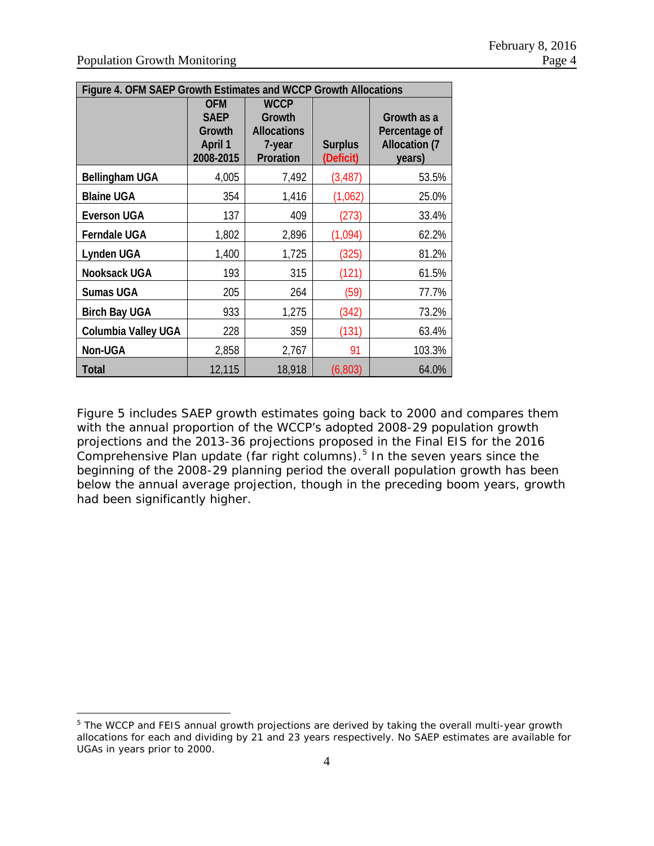$\overline{a}$ 

| Figure 4. OFM SAEP Growth Estimates and WCCP Growth Allocations |                                                             |                                                                    |                             |                                                                |  |  |
|-----------------------------------------------------------------|-------------------------------------------------------------|--------------------------------------------------------------------|-----------------------------|----------------------------------------------------------------|--|--|
|                                                                 | <b>OFM</b><br><b>SAEP</b><br>Growth<br>April 1<br>2008-2015 | <b>WCCP</b><br>Growth<br><b>Allocations</b><br>7-year<br>Proration | <b>Surplus</b><br>(Deficit) | Growth as a<br>Percentage of<br><b>Allocation (7</b><br>years) |  |  |
| Bellingham UGA                                                  | 4,005                                                       | 7,492                                                              | (3, 487)                    | 53.5%                                                          |  |  |
| <b>Blaine UGA</b>                                               | 354                                                         | 1,416                                                              | (1,062)                     | 25.0%                                                          |  |  |
| <b>Everson UGA</b>                                              | 137                                                         | 409                                                                | (273)                       | 33.4%                                                          |  |  |
| <b>Ferndale UGA</b>                                             | 1,802                                                       | 2,896                                                              | (1,094)                     | 62.2%                                                          |  |  |
| Lynden UGA                                                      | 1,400                                                       | 1,725                                                              | (325)                       | 81.2%                                                          |  |  |
| Nooksack UGA                                                    | 193                                                         | 315                                                                | (121)                       | 61.5%                                                          |  |  |
| <b>Sumas UGA</b>                                                | 205                                                         | 264                                                                | (59)                        | 77.7%                                                          |  |  |
| <b>Birch Bay UGA</b>                                            | 933                                                         | 1,275                                                              | (342)                       | 73.2%                                                          |  |  |
| Columbia Valley UGA                                             | 228                                                         | 359                                                                | (131)                       | 63.4%                                                          |  |  |
| Non-UGA                                                         | 2,858                                                       | 2,767                                                              | 91                          | 103.3%                                                         |  |  |
| Total                                                           | 12,115                                                      | 18,918                                                             | (6, 803)                    | 64.0%                                                          |  |  |

Figure 5 includes SAEP growth estimates going back to 2000 and compares them with the annual proportion of the WCCP's adopted 2008-29 population growth projections and the 2013-36 projections proposed in the Final EIS for the 2016 Comprehensive Plan update (far right columns).[5](#page-3-0) In the seven years since the beginning of the 2008-29 planning period the overall population growth has been below the annual average projection, though in the preceding boom years, growth had been significantly higher.

<span id="page-3-0"></span><sup>&</sup>lt;sup>5</sup> The WCCP and FEIS annual growth projections are derived by taking the overall multi-year growth allocations for each and dividing by 21 and 23 years respectively. No SAEP estimates are available for UGAs in years prior to 2000.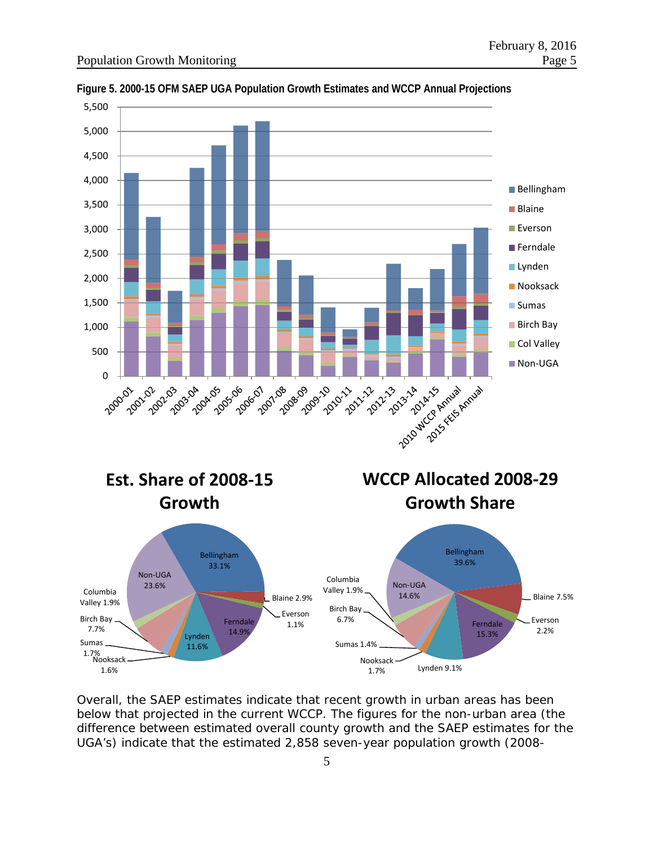

**Figure 5. 2000-15 OFM SAEP UGA Population Growth Estimates and WCCP Annual Projections**

Overall, the SAEP estimates indicate that recent growth in urban areas has been below that projected in the current WCCP. The figures for the non-urban area (the difference between estimated overall county growth and the SAEP estimates for the UGA's) indicate that the estimated 2,858 seven-year population growth (2008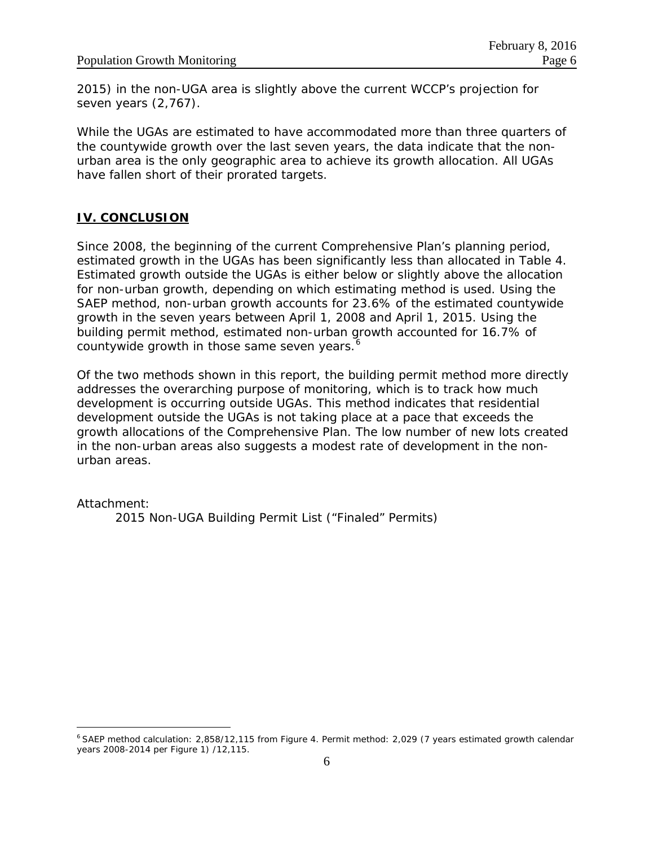2015) in the non-UGA area is slightly above the current WCCP's projection for seven years (2,767).

While the UGAs are estimated to have accommodated more than three quarters of the countywide growth over the last seven years, the data indicate that the nonurban area is the only geographic area to achieve its growth allocation. All UGAs have fallen short of their prorated targets.

#### **IV. CONCLUSION**

Since 2008, the beginning of the current Comprehensive Plan's planning period, estimated growth in the UGAs has been significantly less than allocated in Table 4. Estimated growth outside the UGAs is either below or slightly above the allocation for non-urban growth, depending on which estimating method is used. Using the SAEP method, non-urban growth accounts for 23.6% of the estimated countywide growth in the seven years between April 1, 2008 and April 1, 2015. Using the building permit method, estimated non-urban growth accounted for 16.7% of countywide growth in those same seven years.<sup>[6](#page-5-0)</sup>

Of the two methods shown in this report, the building permit method more directly addresses the overarching purpose of monitoring, which is to track how much development is occurring outside UGAs. This method indicates that residential development outside the UGAs is not taking place at a pace that exceeds the growth allocations of the Comprehensive Plan. The low number of new lots created in the non-urban areas also suggests a modest rate of development in the nonurban areas.

Attachment:

 $\overline{a}$ 

2015 Non-UGA Building Permit List ("Finaled" Permits)

<span id="page-5-0"></span><sup>6</sup> SAEP method calculation: 2,858/12,115 from Figure 4. Permit method: 2,029 (7 years estimated growth calendar years 2008-2014 per Figure 1) /12,115.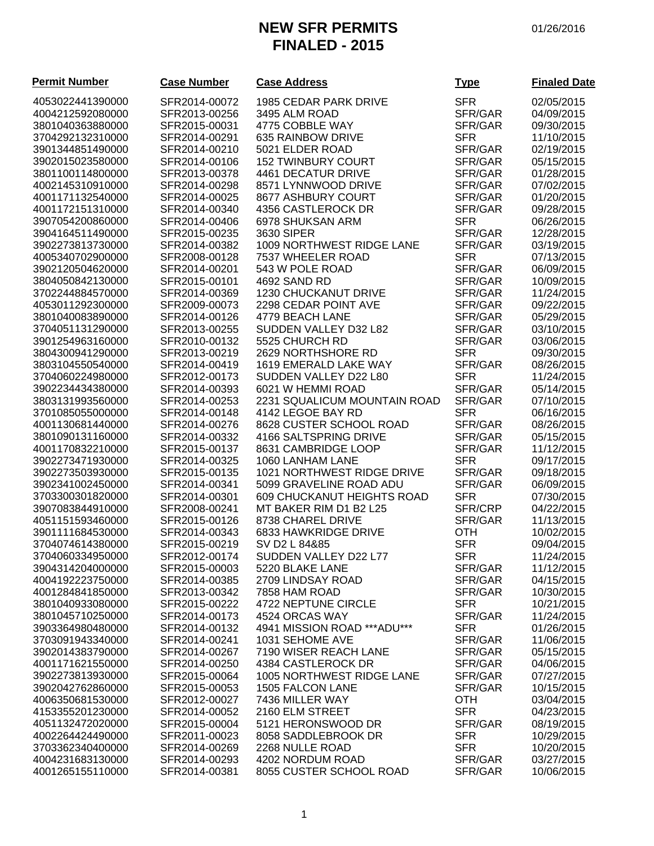# **NEW SFR PERMITS** 01/26/2016 **FINALED - 2015**

| <b>Permit Number</b> | <b>Case Number</b> | <b>Case Address</b>               | <u>Type</u> | <b>Finaled Date</b> |
|----------------------|--------------------|-----------------------------------|-------------|---------------------|
| 4053022441390000     | SFR2014-00072      | 1985 CEDAR PARK DRIVE             | <b>SFR</b>  | 02/05/2015          |
| 4004212592080000     | SFR2013-00256      | 3495 ALM ROAD                     | SFR/GAR     | 04/09/2015          |
| 3801040363880000     | SFR2015-00031      | 4775 COBBLE WAY                   | SFR/GAR     | 09/30/2015          |
| 3704292132310000     | SFR2014-00291      | 635 RAINBOW DRIVE                 | <b>SFR</b>  | 11/10/2015          |
| 3901344851490000     | SFR2014-00210      | 5021 ELDER ROAD                   | SFR/GAR     | 02/19/2015          |
| 3902015023580000     | SFR2014-00106      | <b>152 TWINBURY COURT</b>         | SFR/GAR     | 05/15/2015          |
| 3801100114800000     | SFR2013-00378      | <b>4461 DECATUR DRIVE</b>         | SFR/GAR     | 01/28/2015          |
| 4002145310910000     | SFR2014-00298      | 8571 LYNNWOOD DRIVE               | SFR/GAR     | 07/02/2015          |
| 4001171132540000     | SFR2014-00025      | 8677 ASHBURY COURT                | SFR/GAR     | 01/20/2015          |
| 4001172151310000     | SFR2014-00340      | 4356 CASTLEROCK DR                | SFR/GAR     | 09/28/2015          |
| 3907054200860000     | SFR2014-00406      | 6978 SHUKSAN ARM                  | <b>SFR</b>  | 06/26/2015          |
| 3904164511490000     | SFR2015-00235      | 3630 SIPER                        | SFR/GAR     | 12/28/2015          |
| 3902273813730000     | SFR2014-00382      | 1009 NORTHWEST RIDGE LANE         | SFR/GAR     | 03/19/2015          |
| 4005340702900000     | SFR2008-00128      | 7537 WHEELER ROAD                 | <b>SFR</b>  | 07/13/2015          |
| 3902120504620000     | SFR2014-00201      | 543 W POLE ROAD                   | SFR/GAR     | 06/09/2015          |
| 3804050842130000     | SFR2015-00101      | 4692 SAND RD                      | SFR/GAR     | 10/09/2015          |
| 3702244884570000     | SFR2014-00369      | 1230 CHUCKANUT DRIVE              | SFR/GAR     | 11/24/2015          |
| 4053011292300000     | SFR2009-00073      | 2298 CEDAR POINT AVE              | SFR/GAR     | 09/22/2015          |
| 3801040083890000     | SFR2014-00126      | 4779 BEACH LANE                   | SFR/GAR     | 05/29/2015          |
| 3704051131290000     | SFR2013-00255      | SUDDEN VALLEY D32 L82             | SFR/GAR     | 03/10/2015          |
| 3901254963160000     | SFR2010-00132      | 5525 CHURCH RD                    | SFR/GAR     | 03/06/2015          |
| 3804300941290000     | SFR2013-00219      | 2629 NORTHSHORE RD                | <b>SFR</b>  | 09/30/2015          |
| 3803104550540000     | SFR2014-00419      | 1619 EMERALD LAKE WAY             | SFR/GAR     | 08/26/2015          |
| 3704060224980000     | SFR2012-00173      | SUDDEN VALLEY D22 L80             | <b>SFR</b>  | 11/24/2015          |
| 3902234434380000     | SFR2014-00393      | 6021 W HEMMI ROAD                 | SFR/GAR     | 05/14/2015          |
| 3803131993560000     | SFR2014-00253      | 2231 SQUALICUM MOUNTAIN ROAD      | SFR/GAR     | 07/10/2015          |
| 3701085055000000     | SFR2014-00148      | 4142 LEGOE BAY RD                 | <b>SFR</b>  | 06/16/2015          |
| 4001130681440000     | SFR2014-00276      | 8628 CUSTER SCHOOL ROAD           | SFR/GAR     | 08/26/2015          |
| 3801090131160000     | SFR2014-00332      | 4166 SALTSPRING DRIVE             | SFR/GAR     | 05/15/2015          |
| 4001170832210000     | SFR2015-00137      | 8631 CAMBRIDGE LOOP               | SFR/GAR     | 11/12/2015          |
| 3902273471930000     | SFR2014-00325      | 1060 LANHAM LANE                  | <b>SFR</b>  | 09/17/2015          |
| 3902273503930000     | SFR2015-00135      | 1021 NORTHWEST RIDGE DRIVE        | SFR/GAR     | 09/18/2015          |
| 3902341002450000     | SFR2014-00341      | 5099 GRAVELINE ROAD ADU           | SFR/GAR     | 06/09/2015          |
| 3703300301820000     | SFR2014-00301      | <b>609 CHUCKANUT HEIGHTS ROAD</b> | <b>SFR</b>  | 07/30/2015          |
| 3907083844910000     | SFR2008-00241      | MT BAKER RIM D1 B2 L25            | SFR/CRP     | 04/22/2015          |
| 4051151593460000     | SFR2015-00126      | 8738 CHAREL DRIVE                 | SFR/GAR     | 11/13/2015          |
| 3901111684530000     | SFR2014-00343      | 6833 HAWKRIDGE DRIVE              | <b>OTH</b>  | 10/02/2015          |
| 3704074614380000     | SFR2015-00219      | SV D2 L 84&85                     | <b>SFR</b>  | 09/04/2015          |
| 3704060334950000     | SFR2012-00174      | SUDDEN VALLEY D22 L77             | <b>SFR</b>  | 11/24/2015          |
| 3904314204000000     | SFR2015-00003      | 5220 BLAKE LANE                   | SFR/GAR     | 11/12/2015          |
| 4004192223750000     | SFR2014-00385      | 2709 LINDSAY ROAD                 | SFR/GAR     | 04/15/2015          |
| 4001284841850000     | SFR2013-00342      | 7858 HAM ROAD                     | SFR/GAR     | 10/30/2015          |
| 3801040933080000     | SFR2015-00222      | 4722 NEPTUNE CIRCLE               | <b>SFR</b>  | 10/21/2015          |
| 3801045710250000     | SFR2014-00173      | 4524 ORCAS WAY                    | SFR/GAR     | 11/24/2015          |
| 3903364980480000     | SFR2014-00132      | 4941 MISSION ROAD *** ADU***      | <b>SFR</b>  | 01/26/2015          |
| 3703091943340000     | SFR2014-00241      | 1031 SEHOME AVE                   | SFR/GAR     | 11/06/2015          |
| 3902014383790000     | SFR2014-00267      | 7190 WISER REACH LANE             | SFR/GAR     | 05/15/2015          |
| 4001171621550000     | SFR2014-00250      | 4384 CASTLEROCK DR                | SFR/GAR     | 04/06/2015          |
| 3902273813930000     | SFR2015-00064      | 1005 NORTHWEST RIDGE LANE         | SFR/GAR     | 07/27/2015          |
| 3902042762860000     | SFR2015-00053      | 1505 FALCON LANE                  | SFR/GAR     | 10/15/2015          |
| 4006350681530000     | SFR2012-00027      | 7436 MILLER WAY                   | <b>OTH</b>  | 03/04/2015          |
| 4153355201230000     | SFR2014-00052      | 2160 ELM STREET                   | <b>SFR</b>  | 04/23/2015          |
| 4051132472020000     | SFR2015-00004      | 5121 HERONSWOOD DR                | SFR/GAR     | 08/19/2015          |
| 4002264424490000     | SFR2011-00023      | 8058 SADDLEBROOK DR               | <b>SFR</b>  | 10/29/2015          |
| 3703362340400000     | SFR2014-00269      | 2268 NULLE ROAD                   | <b>SFR</b>  | 10/20/2015          |
| 4004231683130000     | SFR2014-00293      | 4202 NORDUM ROAD                  | SFR/GAR     | 03/27/2015          |
| 4001265155110000     | SFR2014-00381      | 8055 CUSTER SCHOOL ROAD           | SFR/GAR     | 10/06/2015          |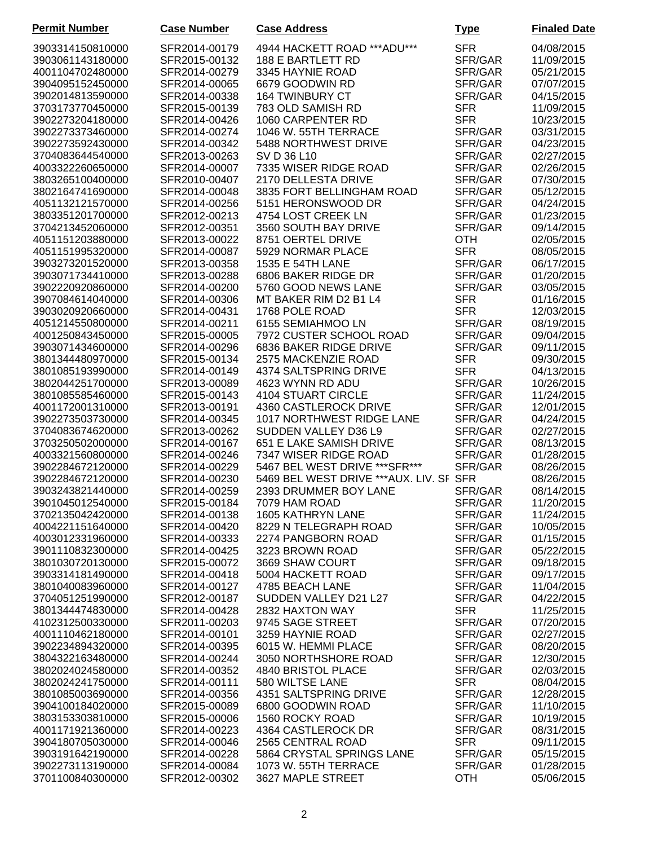| <b>Permit Number</b> | <b>Case Number</b> | <b>Case Address</b>                      | <b>Type</b> | <b>Finaled Date</b> |
|----------------------|--------------------|------------------------------------------|-------------|---------------------|
| 3903314150810000     | SFR2014-00179      | 4944 HACKETT ROAD *** ADU***             | <b>SFR</b>  | 04/08/2015          |
| 3903061143180000     | SFR2015-00132      | 188 E BARTLETT RD                        | SFR/GAR     | 11/09/2015          |
| 4001104702480000     | SFR2014-00279      | 3345 HAYNIE ROAD                         | SFR/GAR     | 05/21/2015          |
| 3904095152450000     | SFR2014-00065      | 6679 GOODWIN RD                          | SFR/GAR     | 07/07/2015          |
|                      | SFR2014-00338      |                                          | SFR/GAR     |                     |
| 3902014813590000     |                    | <b>164 TWINBURY CT</b>                   |             | 04/15/2015          |
| 3703173770450000     | SFR2015-00139      | 783 OLD SAMISH RD                        | <b>SFR</b>  | 11/09/2015          |
| 3902273204180000     | SFR2014-00426      | 1060 CARPENTER RD                        | <b>SFR</b>  | 10/23/2015          |
| 3902273373460000     | SFR2014-00274      | 1046 W. 55TH TERRACE                     | SFR/GAR     | 03/31/2015          |
| 3902273592430000     | SFR2014-00342      | 5488 NORTHWEST DRIVE                     | SFR/GAR     | 04/23/2015          |
| 3704083644540000     | SFR2013-00263      | SV D 36 L10                              | SFR/GAR     | 02/27/2015          |
| 4003322260650000     | SFR2014-00007      | 7335 WISER RIDGE ROAD                    | SFR/GAR     | 02/26/2015          |
| 3803265100400000     | SFR2010-00407      | 2170 DELLESTA DRIVE                      | SFR/GAR     | 07/30/2015          |
| 3802164741690000     | SFR2014-00048      | 3835 FORT BELLINGHAM ROAD                | SFR/GAR     | 05/12/2015          |
| 4051132121570000     | SFR2014-00256      | 5151 HERONSWOOD DR                       | SFR/GAR     | 04/24/2015          |
| 3803351201700000     | SFR2012-00213      | 4754 LOST CREEK LN                       | SFR/GAR     | 01/23/2015          |
| 3704213452060000     | SFR2012-00351      | 3560 SOUTH BAY DRIVE                     | SFR/GAR     | 09/14/2015          |
| 4051151203880000     | SFR2013-00022      | 8751 OERTEL DRIVE                        | <b>OTH</b>  | 02/05/2015          |
| 4051151995320000     | SFR2014-00087      | 5929 NORMAR PLACE                        | <b>SFR</b>  | 08/05/2015          |
| 3903273201520000     | SFR2013-00358      | 1535 E 54TH LANE                         | SFR/GAR     | 06/17/2015          |
| 3903071734410000     | SFR2013-00288      | 6806 BAKER RIDGE DR                      | SFR/GAR     | 01/20/2015          |
| 3902220920860000     | SFR2014-00200      | 5760 GOOD NEWS LANE                      | SFR/GAR     | 03/05/2015          |
| 3907084614040000     | SFR2014-00306      | MT BAKER RIM D2 B1 L4                    | <b>SFR</b>  | 01/16/2015          |
| 3903020920660000     | SFR2014-00431      | 1768 POLE ROAD                           | <b>SFR</b>  | 12/03/2015          |
| 4051214550800000     | SFR2014-00211      | 6155 SEMIAHMOO LN                        | SFR/GAR     | 08/19/2015          |
| 4001250843450000     | SFR2015-00005      | 7972 CUSTER SCHOOL ROAD                  | SFR/GAR     | 09/04/2015          |
| 3903071434600000     | SFR2014-00296      | 6836 BAKER RIDGE DRIVE                   | SFR/GAR     | 09/11/2015          |
| 3801344480970000     | SFR2015-00134      | 2575 MACKENZIE ROAD                      | <b>SFR</b>  | 09/30/2015          |
| 3801085193990000     | SFR2014-00149      | 4374 SALTSPRING DRIVE                    | <b>SFR</b>  | 04/13/2015          |
| 3802044251700000     | SFR2013-00089      | 4623 WYNN RD ADU                         | SFR/GAR     | 10/26/2015          |
| 3801085585460000     | SFR2015-00143      | 4104 STUART CIRCLE                       | SFR/GAR     | 11/24/2015          |
| 4001172001310000     | SFR2013-00191      | 4360 CASTLEROCK DRIVE                    | SFR/GAR     | 12/01/2015          |
| 3902273503730000     | SFR2014-00345      | 1017 NORTHWEST RIDGE LANE                | SFR/GAR     | 04/24/2015          |
| 3704083674620000     | SFR2013-00262      | SUDDEN VALLEY D36 L9                     | SFR/GAR     | 02/27/2015          |
| 3703250502000000     | SFR2014-00167      | 651 E LAKE SAMISH DRIVE                  | SFR/GAR     | 08/13/2015          |
| 4003321560800000     | SFR2014-00246      | 7347 WISER RIDGE ROAD                    | SFR/GAR     | 01/28/2015          |
| 3902284672120000     | SFR2014-00229      | 5467 BEL WEST DRIVE *** SFR***           | SFR/GAR     | 08/26/2015          |
| 3902284672120000     | SFR2014-00230      | 5469 BEL WEST DRIVE *** AUX. LIV. SF SFR |             | 08/26/2015          |
| 3903243821440000     | SFR2014-00259      | 2393 DRUMMER BOY LANE                    | SFR/GAR     | 08/14/2015          |
| 3901045012540000     | SFR2015-00184      | 7079 HAM ROAD                            | SFR/GAR     | 11/20/2015          |
| 3702135042420000     | SFR2014-00138      | 1605 KATHRYN LANE                        | SFR/GAR     | 11/24/2015          |
| 4004221151640000     | SFR2014-00420      | 8229 N TELEGRAPH ROAD                    | SFR/GAR     | 10/05/2015          |
| 4003012331960000     | SFR2014-00333      | 2274 PANGBORN ROAD                       | SFR/GAR     | 01/15/2015          |
| 3901110832300000     | SFR2014-00425      | 3223 BROWN ROAD                          | SFR/GAR     | 05/22/2015          |
| 3801030720130000     | SFR2015-00072      | 3669 SHAW COURT                          | SFR/GAR     | 09/18/2015          |
| 3903314181490000     | SFR2014-00418      | 5004 HACKETT ROAD                        | SFR/GAR     | 09/17/2015          |
| 3801040083960000     | SFR2014-00127      | 4785 BEACH LANE                          | SFR/GAR     | 11/04/2015          |
| 3704051251990000     | SFR2012-00187      | SUDDEN VALLEY D21 L27                    | SFR/GAR     | 04/22/2015          |
| 3801344474830000     | SFR2014-00428      | 2832 HAXTON WAY                          | <b>SFR</b>  | 11/25/2015          |
| 4102312500330000     | SFR2011-00203      | 9745 SAGE STREET                         | SFR/GAR     | 07/20/2015          |
| 4001110462180000     | SFR2014-00101      | 3259 HAYNIE ROAD                         | SFR/GAR     | 02/27/2015          |
| 3902234894320000     | SFR2014-00395      | 6015 W. HEMMI PLACE                      | SFR/GAR     | 08/20/2015          |
| 3804322163480000     | SFR2014-00244      | 3050 NORTHSHORE ROAD                     | SFR/GAR     | 12/30/2015          |
| 3802024024580000     | SFR2014-00352      | 4840 BRISTOL PLACE                       | SFR/GAR     | 02/03/2015          |
| 3802024241750000     | SFR2014-00111      | 580 WILTSE LANE                          | <b>SFR</b>  | 08/04/2015          |
| 3801085003690000     | SFR2014-00356      | 4351 SALTSPRING DRIVE                    | SFR/GAR     | 12/28/2015          |
| 3904100184020000     | SFR2015-00089      | 6800 GOODWIN ROAD                        | SFR/GAR     | 11/10/2015          |
| 3803153303810000     | SFR2015-00006      | 1560 ROCKY ROAD                          | SFR/GAR     | 10/19/2015          |
| 4001171921360000     | SFR2014-00223      | 4364 CASTLEROCK DR                       | SFR/GAR     | 08/31/2015          |
| 3904180705030000     | SFR2014-00046      | 2565 CENTRAL ROAD                        | <b>SFR</b>  | 09/11/2015          |
| 3903191642190000     | SFR2014-00228      | 5864 CRYSTAL SPRINGS LANE                | SFR/GAR     | 05/15/2015          |
| 3902273113190000     | SFR2014-00084      | 1073 W. 55TH TERRACE                     | SFR/GAR     | 01/28/2015          |
| 3701100840300000     | SFR2012-00302      | 3627 MAPLE STREET                        | <b>OTH</b>  | 05/06/2015          |
|                      |                    |                                          |             |                     |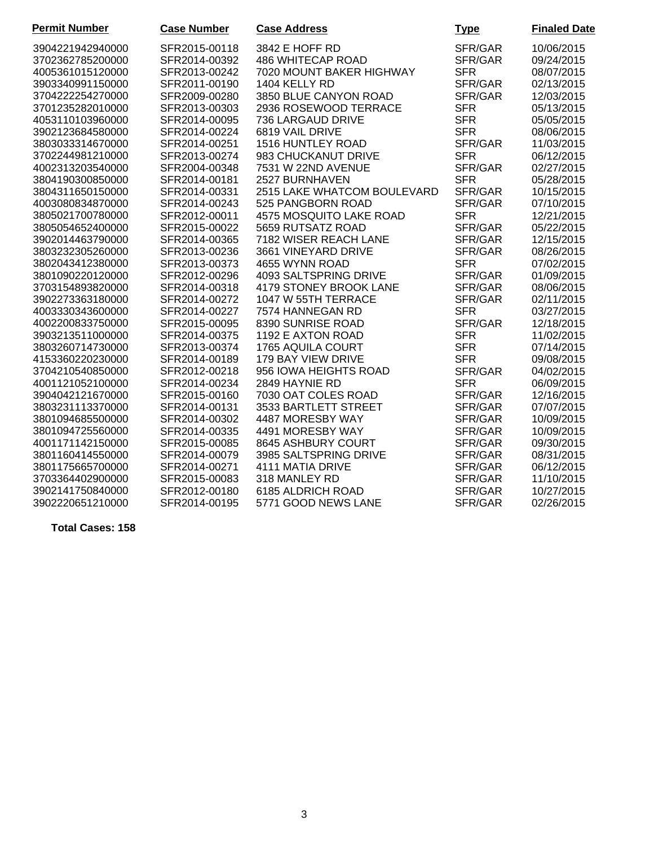| <b>Permit Number</b> | <b>Case Number</b> | <b>Case Address</b>         | <b>Type</b> | <b>Finaled Date</b> |
|----------------------|--------------------|-----------------------------|-------------|---------------------|
| 3904221942940000     | SFR2015-00118      | 3842 E HOFF RD              | SFR/GAR     | 10/06/2015          |
| 3702362785200000     | SFR2014-00392      | 486 WHITECAP ROAD           | SFR/GAR     | 09/24/2015          |
| 4005361015120000     | SFR2013-00242      | 7020 MOUNT BAKER HIGHWAY    | <b>SFR</b>  | 08/07/2015          |
| 3903340991150000     | SFR2011-00190      | 1404 KELLY RD               | SFR/GAR     | 02/13/2015          |
| 3704222254270000     | SFR2009-00280      | 3850 BLUE CANYON ROAD       | SFR/GAR     | 12/03/2015          |
| 3701235282010000     | SFR2013-00303      | 2936 ROSEWOOD TERRACE       | <b>SFR</b>  | 05/13/2015          |
| 4053110103960000     | SFR2014-00095      | 736 LARGAUD DRIVE           | <b>SFR</b>  | 05/05/2015          |
| 3902123684580000     | SFR2014-00224      | 6819 VAIL DRIVE             | <b>SFR</b>  | 08/06/2015          |
| 3803033314670000     | SFR2014-00251      | 1516 HUNTLEY ROAD           | SFR/GAR     | 11/03/2015          |
| 3702244981210000     | SFR2013-00274      | 983 CHUCKANUT DRIVE         | <b>SFR</b>  | 06/12/2015          |
| 4002313203540000     | SFR2004-00348      | 7531 W 22ND AVENUE          | SFR/GAR     | 02/27/2015          |
| 3804190300850000     | SFR2014-00181      | 2527 BURNHAVEN              | <b>SFR</b>  | 05/28/2015          |
| 3804311650150000     | SFR2014-00331      | 2515 LAKE WHATCOM BOULEVARD | SFR/GAR     | 10/15/2015          |
| 4003080834870000     | SFR2014-00243      | 525 PANGBORN ROAD           | SFR/GAR     | 07/10/2015          |
| 3805021700780000     | SFR2012-00011      | 4575 MOSQUITO LAKE ROAD     | <b>SFR</b>  | 12/21/2015          |
| 3805054652400000     | SFR2015-00022      | 5659 RUTSATZ ROAD           | SFR/GAR     | 05/22/2015          |
| 3902014463790000     | SFR2014-00365      | 7182 WISER REACH LANE       | SFR/GAR     | 12/15/2015          |
| 3803232305260000     | SFR2013-00236      | 3661 VINEYARD DRIVE         | SFR/GAR     | 08/26/2015          |
| 3802043412380000     | SFR2013-00373      | 4655 WYNN ROAD              | <b>SFR</b>  | 07/02/2015          |
| 3801090220120000     | SFR2012-00296      | 4093 SALTSPRING DRIVE       | SFR/GAR     | 01/09/2015          |
| 3703154893820000     | SFR2014-00318      | 4179 STONEY BROOK LANE      | SFR/GAR     | 08/06/2015          |
| 3902273363180000     | SFR2014-00272      | 1047 W 55TH TERRACE         | SFR/GAR     | 02/11/2015          |
| 4003330343600000     | SFR2014-00227      | 7574 HANNEGAN RD            | <b>SFR</b>  | 03/27/2015          |
| 4002200833750000     | SFR2015-00095      | 8390 SUNRISE ROAD           | SFR/GAR     | 12/18/2015          |
| 3903213511000000     | SFR2014-00375      | 1192 E AXTON ROAD           | <b>SFR</b>  | 11/02/2015          |
| 3803260714730000     | SFR2013-00374      | 1765 AQUILA COURT           | <b>SFR</b>  | 07/14/2015          |
| 4153360220230000     | SFR2014-00189      | 179 BAY VIEW DRIVE          | <b>SFR</b>  | 09/08/2015          |
| 3704210540850000     | SFR2012-00218      | 956 IOWA HEIGHTS ROAD       | SFR/GAR     | 04/02/2015          |
| 4001121052100000     | SFR2014-00234      | 2849 HAYNIE RD              | <b>SFR</b>  | 06/09/2015          |
| 3904042121670000     | SFR2015-00160      | 7030 OAT COLES ROAD         | SFR/GAR     | 12/16/2015          |
| 3803231113370000     | SFR2014-00131      | 3533 BARTLETT STREET        | SFR/GAR     | 07/07/2015          |
| 3801094685500000     | SFR2014-00302      | 4487 MORESBY WAY            | SFR/GAR     | 10/09/2015          |
| 3801094725560000     | SFR2014-00335      | 4491 MORESBY WAY            | SFR/GAR     | 10/09/2015          |
| 4001171142150000     | SFR2015-00085      | 8645 ASHBURY COURT          | SFR/GAR     | 09/30/2015          |
| 3801160414550000     | SFR2014-00079      | 3985 SALTSPRING DRIVE       | SFR/GAR     | 08/31/2015          |
| 3801175665700000     | SFR2014-00271      | 4111 MATIA DRIVE            | SFR/GAR     | 06/12/2015          |
| 3703364402900000     | SFR2015-00083      | 318 MANLEY RD               | SFR/GAR     | 11/10/2015          |
| 3902141750840000     | SFR2012-00180      | 6185 ALDRICH ROAD           | SFR/GAR     | 10/27/2015          |
| 3902220651210000     | SFR2014-00195      | 5771 GOOD NEWS LANE         | SFR/GAR     | 02/26/2015          |

**Total Cases: 158**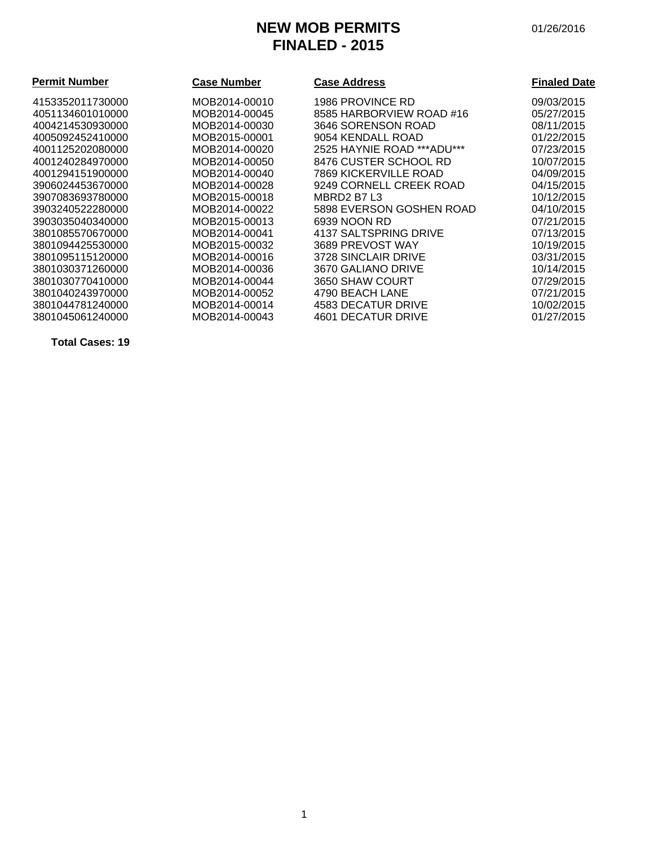# **NEW MOB PERMITS** 01/26/2016 **FINALED - 2015**

| <b>Permit Number</b> | <b>Case Number</b> | <b>Case Address</b>         | <b>Finaled Date</b> |
|----------------------|--------------------|-----------------------------|---------------------|
| 4153352011730000     | MOB2014-00010      | 1986 PROVINCE RD            | 09/03/2015          |
| 4051134601010000     | MOB2014-00045      | 8585 HARBORVIEW ROAD #16    | 05/27/2015          |
| 4004214530930000     | MOB2014-00030      | 3646 SORENSON ROAD          | 08/11/2015          |
| 4005092452410000     | MOB2015-00001      | 9054 KENDALL ROAD           | 01/22/2015          |
| 4001125202080000     | MOB2014-00020      | 2525 HAYNIE ROAD *** ADU*** | 07/23/2015          |
| 4001240284970000     | MOB2014-00050      | 8476 CUSTER SCHOOL RD       | 10/07/2015          |
| 4001294151900000     | MOB2014-00040      | 7869 KICKERVILLE ROAD       | 04/09/2015          |
| 3906024453670000     | MOB2014-00028      | 9249 CORNELL CREEK ROAD     | 04/15/2015          |
| 3907083693780000     | MOB2015-00018      | MBRD2 B7 L3                 | 10/12/2015          |
| 3903240522280000     | MOB2014-00022      | 5898 EVERSON GOSHEN ROAD    | 04/10/2015          |
| 3903035040340000     | MOB2015-00013      | 6939 NOON RD                | 07/21/2015          |
| 3801085570670000     | MOB2014-00041      | 4137 SALTSPRING DRIVE       | 07/13/2015          |
| 3801094425530000     | MOB2015-00032      | 3689 PREVOST WAY            | 10/19/2015          |
| 3801095115120000     | MOB2014-00016      | 3728 SINCLAIR DRIVE         | 03/31/2015          |
| 3801030371260000     | MOB2014-00036      | 3670 GALIANO DRIVE          | 10/14/2015          |
| 3801030770410000     | MOB2014-00044      | 3650 SHAW COURT             | 07/29/2015          |
| 3801040243970000     | MOB2014-00052      | 4790 BEACH LANE             | 07/21/2015          |
| 3801044781240000     | MOB2014-00014      | 4583 DECATUR DRIVE          | 10/02/2015          |
| 3801045061240000     | MOB2014-00043      | 4601 DECATUR DRIVE          | 01/27/2015          |

**Total Cases: 19**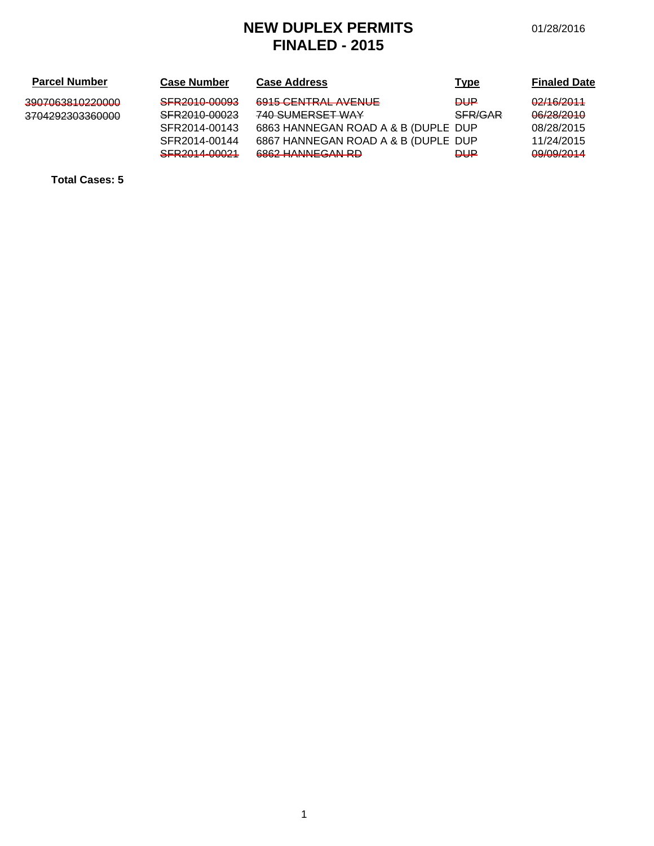# **NEW DUPLEX PERMITS** 01/28/2016 **FINALED - 2015**

| <b>Parcel Number</b>                               | <b>Case Number</b>                       | <b>Case Address</b>                                    | <b>Type</b>    | <b>Finaled Date</b>                         |
|----------------------------------------------------|------------------------------------------|--------------------------------------------------------|----------------|---------------------------------------------|
| 3007063810220000<br><del>JJVI VUJU I UZZVUUU</del> | SFR2010-00093                            | 6915 CENTRAL AVENUE                                    | ₽₩             | 02/16/2011                                  |
| <del>3704292303360000</del>                        | SEDON10-00023<br><b>ULITAU IV VUULU</b>  | <b>740 SUBJEDSET MAY</b><br>$T$ TV VVIVILI VVLT TY $T$ | <b>SFR/GAR</b> | 08/28/2010<br><del>oorzorzo ro</del>        |
|                                                    | SFR2014-00143                            | 6863 HANNEGAN ROAD A & B (DUPLE DUP                    |                | 08/28/2015                                  |
|                                                    | SFR2014-00144                            | 6867 HANNEGAN ROAD A & B (DUPLE DUP                    |                | 11/24/2015                                  |
|                                                    | SED 2014 LOOD 1<br><b>VITY-VIT VVVLT</b> | 6862 HANNECAN RD                                       | ₽₩₽            | <u>00/00/2014</u><br><del>vorvoir v m</del> |

**Total Cases: 5**

1